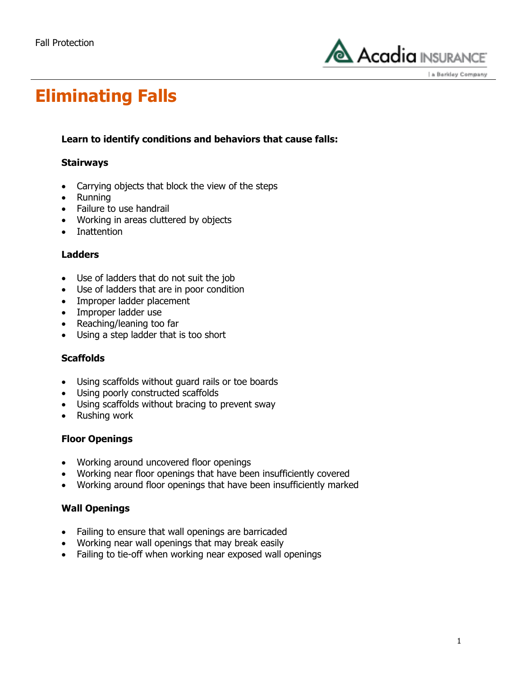

a Berkley Company

**Eliminating Falls**

## **Learn to identify conditions and behaviors that cause falls:**

### **Stairways**

- Carrying objects that block the view of the steps
- Running
- Failure to use handrail
- Working in areas cluttered by objects
- Inattention

#### **Ladders**

- Use of ladders that do not suit the job
- Use of ladders that are in poor condition
- Improper ladder placement
- Improper ladder use
- Reaching/leaning too far
- Using a step ladder that is too short

#### **Scaffolds**

- Using scaffolds without guard rails or toe boards
- Using poorly constructed scaffolds
- Using scaffolds without bracing to prevent sway
- Rushing work

#### **Floor Openings**

- Working around uncovered floor openings
- Working near floor openings that have been insufficiently covered
- Working around floor openings that have been insufficiently marked

#### **Wall Openings**

- Failing to ensure that wall openings are barricaded
- Working near wall openings that may break easily
- Failing to tie-off when working near exposed wall openings